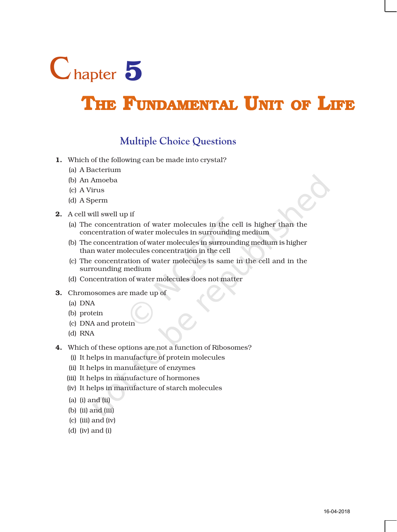

# THE FUNDAMENTAL UNIT OF LIFE

## **Multiple Choice Questions**

- 1. Which of the following can be made into crystal?
	- (a) A Bacterium
	- (b) An Amoeba
	- (c) A Virus
	- (d) A Sperm
- 2. A cell will swell up if
	- (a) The concentration of water molecules in the cell is higher than the concentration of water molecules in surrounding medium
	- (b) The concentration of water molecules in surrounding medium is higher than water molecules concentration in the cell
	- (c) The concentration of water molecules is same in the cell and in the surrounding medium
	- (d) Concentration of water molecules does not matter
- 3. Chromosomes are made up of
	- (a) DNA
	- (b) protein
	- (c) DNA and protein
	- (d) RNA
- 4. Which of these options are not a function of Ribosomes?
	- (i) It helps in manufacture of protein molecules
	- (ii) It helps in manufacture of enzymes
	- (iii) It helps in manufacture of hormones
	- (iv) It helps in manufacture of starch molecules
	- (a) (i) and (ii)
	- (b) (ii) and (iii)
	- (c) (iii) and (iv)
	- (d) (iv) and (i)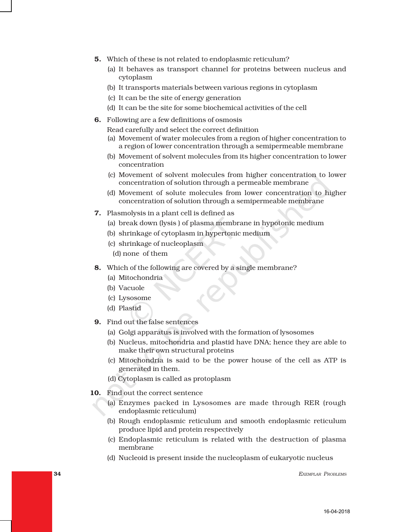- 5. Which of these is not related to endoplasmic reticulum?
	- (a) It behaves as transport channel for proteins between nucleus and cytoplasm
	- (b) It transports materials between various regions in cytoplasm
	- (c) It can be the site of energy generation
	- (d) It can be the site for some biochemical activities of the cell
- 6. Following are a few definitions of osmosis
	- Read carefully and select the correct definition
	- (a) Movement of water molecules from a region of higher concentration to a region of lower concentration through a semipermeable membrane
	- (b) Movement of solvent molecules from its higher concentration to lower concentration
	- (c) Movement of solvent molecules from higher concentration to lower concentration of solution through a permeable membrane
	- (d) Movement of solute molecules from lower concentration to higher concentration of solution through a semipermeable membrane
- 7. Plasmolysis in a plant cell is defined as
	- (a) break down (lysis ) of plasma membrane in hypotonic medium
	- (b) shrinkage of cytoplasm in hypertonic medium
	- (c) shrinkage of nucleoplasm
		- (d) none of them
- 8. Which of the following are covered by a single membrane?
	- (a) Mitochondria
	- (b) Vacuole
	- (c) Lysosome
	- (d) Plastid
- 9. Find out the false sentences
	- (a) Golgi apparatus is involved with the formation of lysosomes
	- (b) Nucleus, mitochondria and plastid have DNA; hence they are able to make their own structural proteins
	- (c) Mitochondria is said to be the power house of the cell as ATP is generated in them.
	- (d) Cytoplasm is called as protoplasm
- 10. Find out the correct sentence
	- (a) Enzymes packed in Lysosomes are made through RER (rough endoplasmic reticulum)
	- (b) Rough endoplasmic reticulum and smooth endoplasmic reticulum produce lipid and protein respectively
	- (c) Endoplasmic reticulum is related with the destruction of plasma membrane
	- (d) Nucleoid is present inside the nucleoplasm of eukaryotic nucleus

**34** EXEMPLAR PROBLEMS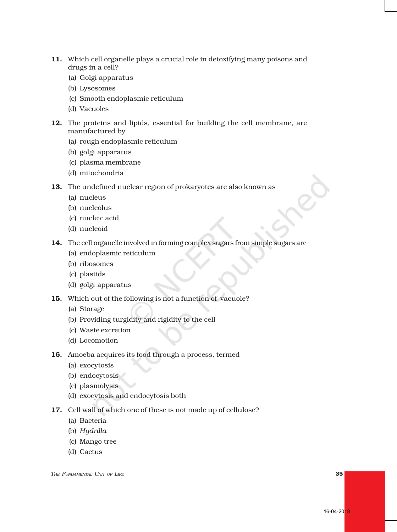- 11. Which cell organelle plays a crucial role in detoxifying many poisons and drugs in a cell?
	- (a) Golgi apparatus
	- (b) Lysosomes
	- (c) Smooth endoplasmic reticulum
	- (d) Vacuoles
- 12. The proteins and lipids, essential for building the cell membrane, are manufactured by
	- (a) rough endoplasmic reticulum
	- (b) golgi apparatus
	- (c) plasma membrane
	- (d) mitochondria
- 13. The undefined nuclear region of prokaryotes are also known as
	- (a) nucleus
	- (b) nucleolus
	- (c) nucleic acid
	- (d) nucleoid
- 14. The cell organelle involved in forming complex sugars from simple sugars are
	- (a) endoplasmic reticulum
	- (b) ribosomes
	- (c) plastids
	- (d) golgi apparatus
- 15. Which out of the following is not a function of vacuole?
	- (a) Storage
	- (b) Providing turgidity and rigidity to the cell
	- (c) Waste excretion
	- (d) Locomotion
- 16. Amoeba acquires its food through a process, termed
	- (a) exocytosis
	- (b) endocytosis
	- (c) plasmolysis
	- (d) exocytosis and endocytosis both
- 17. Cell wall of which one of these is not made up of cellulose?
	- (a) Bacteria
	- (b) *Hydrilla*
	- (c) Mango tree
	- (d) Cactus

*THE FUNDAMENTAL UNIT OF LIFE* 35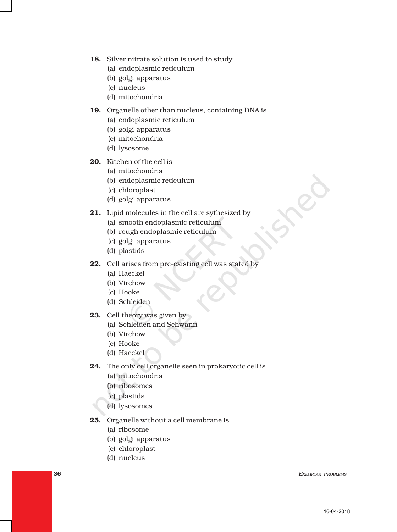- 18. Silver nitrate solution is used to study
	- (a) endoplasmic reticulum
	- (b) golgi apparatus
	- (c) nucleus
	- (d) mitochondria

#### 19. Organelle other than nucleus, containing DNA is

- (a) endoplasmic reticulum
- (b) golgi apparatus
- (c) mitochondria
- (d) lysosome
- 20. Kitchen of the cell is
	- (a) mitochondria
	- (b) endoplasmic reticulum
	- (c) chloroplast
	- (d) golgi apparatus
- 21. Lipid molecules in the cell are sythesized by
	- (a) smooth endoplasmic reticulum
	- (b) rough endoplasmic reticulum
	- (c) golgi apparatus
	- (d) plastids
- 22. Cell arises from pre-existing cell was stated by
	- (a) Haeckel
	- (b) Virchow
	- (c) Hooke
	- (d) Schleiden
- 23. Cell theory was given by
	- (a) Schleiden and Schwann
	- (b) Virchow
	- (c) Hooke
	- (d) Haeckel
- 24. The only cell organelle seen in prokaryotic cell is
	- (a) mitochondria
	- (b) ribosomes
	- (c) plastids
	- (d) lysosomes
- 25. Organelle without a cell membrane is
	- (a) ribosome
	- (b) golgi apparatus
	- (c) chloroplast
	- (d) nucleus

**36 EXEMPLAR PROBLEMS**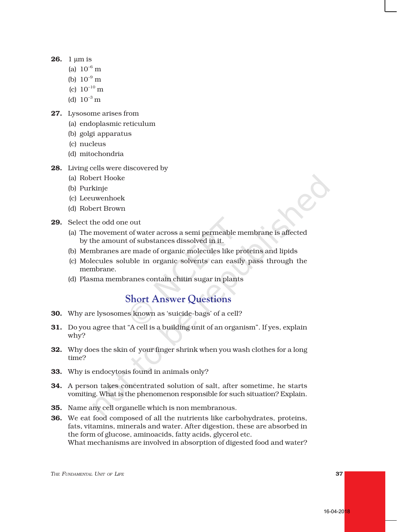- **26.** 1 um is
	- (a)  $10^{-6}$  m
	- (b)  $10^{-9}$  m
	- (c)  $10^{-10}$  m
	- (d)  $10^{-3}$  m
- 27. Lysosome arises from
	- (a) endoplasmic reticulum
	- (b) golgi apparatus
	- (c) nucleus
	- (d) mitochondria
- 28. Living cells were discovered by
	- (a) Robert Hooke
	- (b) Purkinje
	- (c) Leeuwenhoek
	- (d) Robert Brown
- 29. Select the odd one out
	- (a) The movement of water across a semi permeable membrane is affected by the amount of substances dissolved in it.
	- (b) Membranes are made of organic molecules like proteins and lipids
	- (c) Molecules soluble in organic solvents can easily pass through the membrane.
	- (d) Plasma membranes contain chitin sugar in plants

#### **Short Answer Questions**

- 30. Why are lysosomes known as 'suicide-bags' of a cell?
- 31. Do you agree that "A cell is a building unit of an organism". If yes, explain why?
- 32. Why does the skin of your finger shrink when you wash clothes for a long time?
- 33. Why is endocytosis found in animals only?
- 34. A person takes concentrated solution of salt, after sometime, he starts vomiting. What is the phenomenon responsible for such situation? Explain.
- 35. Name any cell organelle which is non membranous.
- 36. We eat food composed of all the nutrients like carbohydrates, proteins, fats, vitamins, minerals and water. After digestion, these are absorbed in the form of glucose, aminoacids, fatty acids, glycerol etc. What mechanisms are involved in absorption of digested food and water?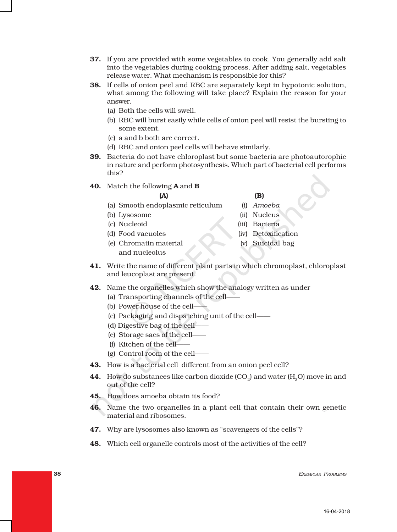- **37.** If you are provided with some vegetables to cook. You generally add salt into the vegetables during cooking process. After adding salt, vegetables release water. What mechanism is responsible for this?
- 38. If cells of onion peel and RBC are separately kept in hypotonic solution, what among the following will take place? Explain the reason for your answer.
	- (a) Both the cells will swell.
	- (b) RBC will burst easily while cells of onion peel will resist the bursting to some extent.
	- (c) a and b both are correct.
	- (d) RBC and onion peel cells will behave similarly.
- 39. Bacteria do not have chloroplast but some bacteria are photoautorophic in nature and perform photosynthesis. Which part of bacterial cell performs this?
- 40. Match the following **A** and **B**

#### $(A)$  (B)

- (a) Smooth endoplasmic reticulum (i) *Amoeba*
- (b) Lysosome (ii) Nucleus
- (c) Nucleoid (iii) Bacteria
- (d) Food vacuoles (iv) Detoxification
- (e) Chromatin material (v) Suicidal bag
- 
- -
- and nucleolus
- 41. Write the name of different plant parts in which chromoplast, chloroplast and leucoplast are present.
- 42. Name the organelles which show the analogy written as under
	- (a) Transporting channels of the cell——
	- (b) Power house of the cell——
	- (c) Packaging and dispatching unit of the cell——
	- (d) Digestive bag of the cell——
	- (e) Storage sacs of the cell——
	- (f) Kitchen of the cell——
	- (g) Control room of the cell——
- 43. How is a bacterial cell different from an onion peel cell?
- **44.** How do substances like carbon dioxide  $(CO<sub>o</sub>)$  and water  $(H<sub>o</sub>O)$  move in and out of the cell?
- 45. How does amoeba obtain its food?
- 46. Name the two organelles in a plant cell that contain their own genetic material and ribosomes.
- 47. Why are lysosomes also known as "scavengers of the cells"?
- 48. Which cell organelle controls most of the activities of the cell?